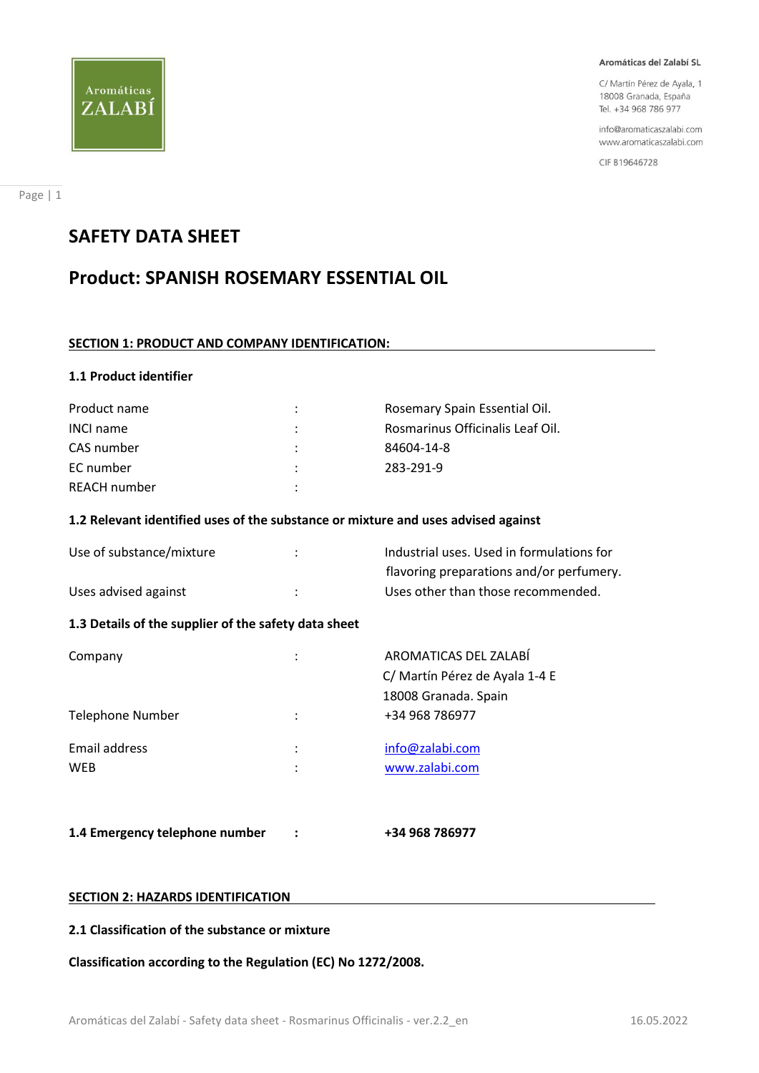

C/ Martín Pérez de Ayala, 1 18008 Granada, España Tel. +34 968 786 977

info@aromaticaszalabi.com www.aromaticaszalabi.com

CIF B19646728

# **SAFETY DATA SHEET**

Aromáticas

ZALABÍ

# **Product: SPANISH ROSEMARY ESSENTIAL OIL**

# **SECTION 1: PRODUCT AND COMPANY IDENTIFICATION:**

# **1.1 Product identifier**

| Product name        | ÷                    | Rosemary Spain Essential Oil.    |
|---------------------|----------------------|----------------------------------|
| <b>INCI name</b>    | ÷                    | Rosmarinus Officinalis Leaf Oil. |
| CAS number          |                      | 84604-14-8                       |
| EC number           | $\ddot{\phantom{a}}$ | 283-291-9                        |
| <b>REACH number</b> |                      |                                  |

# **1.2 Relevant identified uses of the substance or mixture and uses advised against**

| Use of substance/mixture | Industrial uses. Used in formulations for |
|--------------------------|-------------------------------------------|
|                          | flavoring preparations and/or perfumery.  |
| Uses advised against     | Uses other than those recommended.        |

# **1.3 Details of the supplier of the safety data sheet**

| Company                 | ٠<br>$\bullet$ | AROMATICAS DEL ZALABÍ          |
|-------------------------|----------------|--------------------------------|
|                         |                | C/ Martín Pérez de Ayala 1-4 E |
|                         |                | 18008 Granada. Spain           |
| <b>Telephone Number</b> | ÷              | +34 968 786977                 |
| Email address           | ٠<br>÷         | info@zalabi.com                |
| WEB                     | ٠              | www.zalabi.com                 |
|                         |                |                                |
|                         |                |                                |

**1.4 Emergency telephone number : +34 968 786977**

# **SECTION 2: HAZARDS IDENTIFICATION**

# **2.1 Classification of the substance or mixture**

**Classification according to the Regulation (EC) No 1272/2008.**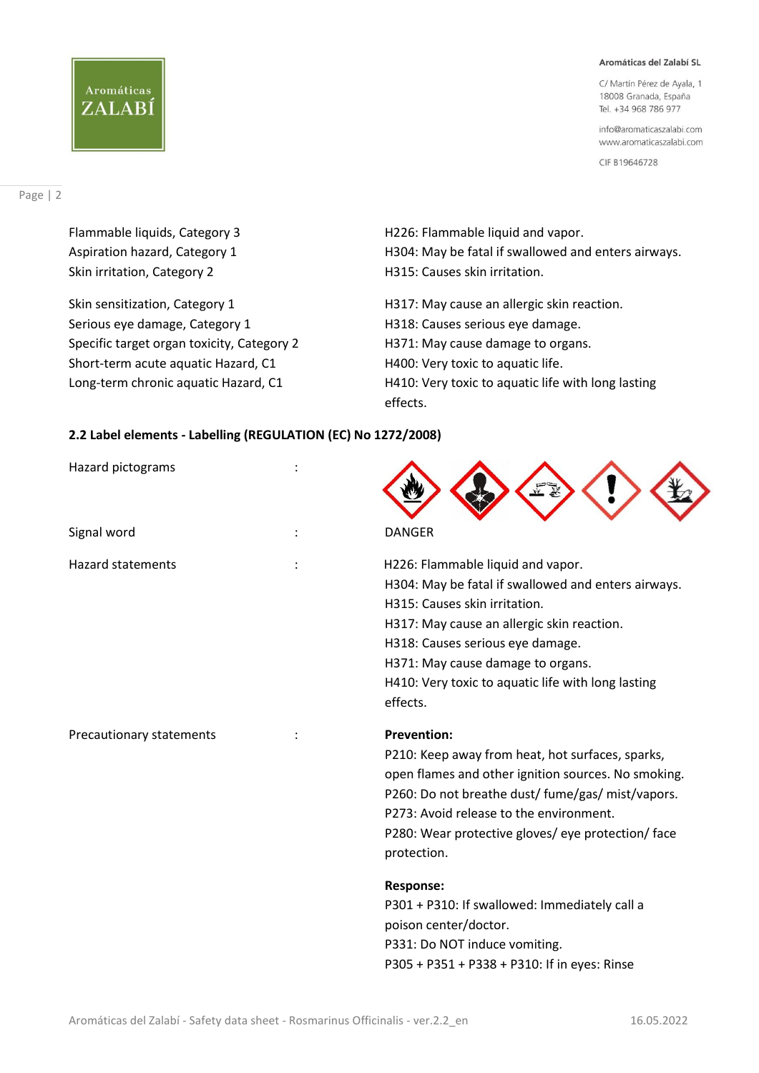C/ Martín Pérez de Ayala, 1 18008 Granada, España Tel. +34 968 786 977

info@aromaticaszalabi.com www.aromaticaszalabi.com

CIF B19646728

# Page | 2

Aromáticas

ZALABÍ

Skin sensitization, Category 1 **H317:** May cause an allergic skin reaction. Serious eye damage, Category 1 discussed and H318: Causes serious eye damage. Specific target organ toxicity, Category 2 **H371: May cause damage to organs.** Short-term acute aquatic Hazard, C1 H400: Very toxic to aquatic life.

Flammable liquids, Category 3 H226: Flammable liquid and vapor. Aspiration hazard, Category 1 **H304: May be fatal if swallowed and enters airways.** Skin irritation, Category 2 **H315:** Causes skin irritation.

Long-term chronic aquatic Hazard, C1 H410: Very toxic to aquatic life with long lasting effects.

# **2.2 Label elements - Labelling (REGULATION (EC) No 1272/2008)**

| Hazard pictograms        |                                                                                                                                                                                                                                                                                                                                                                                                                                                                                   |
|--------------------------|-----------------------------------------------------------------------------------------------------------------------------------------------------------------------------------------------------------------------------------------------------------------------------------------------------------------------------------------------------------------------------------------------------------------------------------------------------------------------------------|
| Signal word              | <b>DANGER</b>                                                                                                                                                                                                                                                                                                                                                                                                                                                                     |
| <b>Hazard statements</b> | H226: Flammable liquid and vapor.<br>H304: May be fatal if swallowed and enters airways.<br>H315: Causes skin irritation.<br>H317: May cause an allergic skin reaction.<br>H318: Causes serious eye damage.<br>H371: May cause damage to organs.<br>H410: Very toxic to aquatic life with long lasting<br>effects.                                                                                                                                                                |
| Precautionary statements | <b>Prevention:</b><br>P210: Keep away from heat, hot surfaces, sparks,<br>open flames and other ignition sources. No smoking.<br>P260: Do not breathe dust/ fume/gas/ mist/vapors.<br>P273: Avoid release to the environment.<br>P280: Wear protective gloves/ eye protection/ face<br>protection.<br><b>Response:</b><br>P301 + P310: If swallowed: Immediately call a<br>poison center/doctor.<br>P331: Do NOT induce vomiting.<br>P305 + P351 + P338 + P310: If in eyes: Rinse |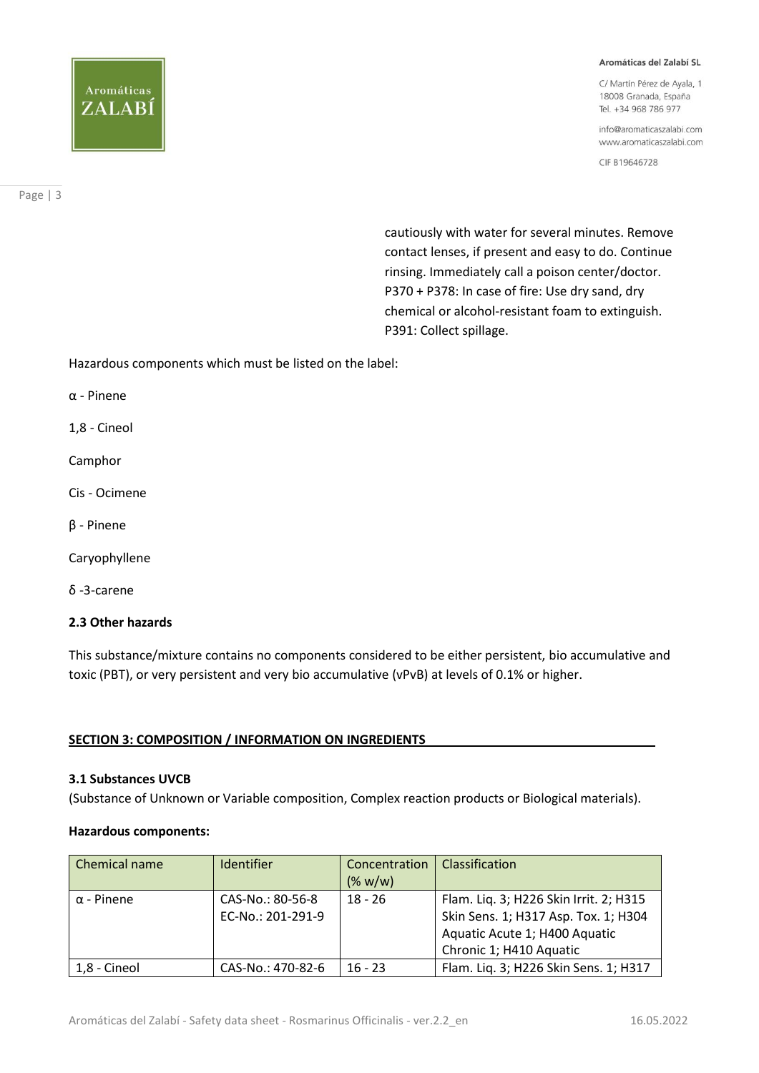# Aromáticas ZALABÍ

#### Aromáticas del Zalabí SL

C/ Martín Pérez de Ayala, 1 18008 Granada, España Tel. +34 968 786 977

info@aromaticaszalabi.com www.aromaticaszalabi.com

CIF B19646728

Page | 3

 cautiously with water for several minutes. Remove contact lenses, if present and easy to do. Continue rinsing. Immediately call a poison center/doctor. P370 + P378: In case of fire: Use dry sand, dry chemical or alcohol-resistant foam to extinguish. P391: Collect spillage.

Hazardous components which must be listed on the label:

α - Pinene

1,8 - Cineol

Camphor

- Cis Ocimene
- β Pinene
- Caryophyllene
- δ -3-carene

# **2.3 Other hazards**

This substance/mixture contains no components considered to be either persistent, bio accumulative and toxic (PBT), or very persistent and very bio accumulative (vPvB) at levels of 0.1% or higher.

# **SECTION 3: COMPOSITION / INFORMATION ON INGREDIENTS**

# **3.1 Substances UVCB**

(Substance of Unknown or Variable composition, Complex reaction products or Biological materials).

# **Hazardous components:**

| Chemical name     | Identifier                            | Concentration<br>(% w/w) | Classification                                                                                                                             |
|-------------------|---------------------------------------|--------------------------|--------------------------------------------------------------------------------------------------------------------------------------------|
| $\alpha$ - Pinene | CAS-No.: 80-56-8<br>EC-No.: 201-291-9 | $18 - 26$                | Flam. Liq. 3; H226 Skin Irrit. 2; H315<br>Skin Sens. 1; H317 Asp. Tox. 1; H304<br>Aquatic Acute 1; H400 Aquatic<br>Chronic 1; H410 Aquatic |
| 1,8 - Cineol      | CAS-No.: 470-82-6                     | $16 - 23$                | Flam. Liq. 3; H226 Skin Sens. 1; H317                                                                                                      |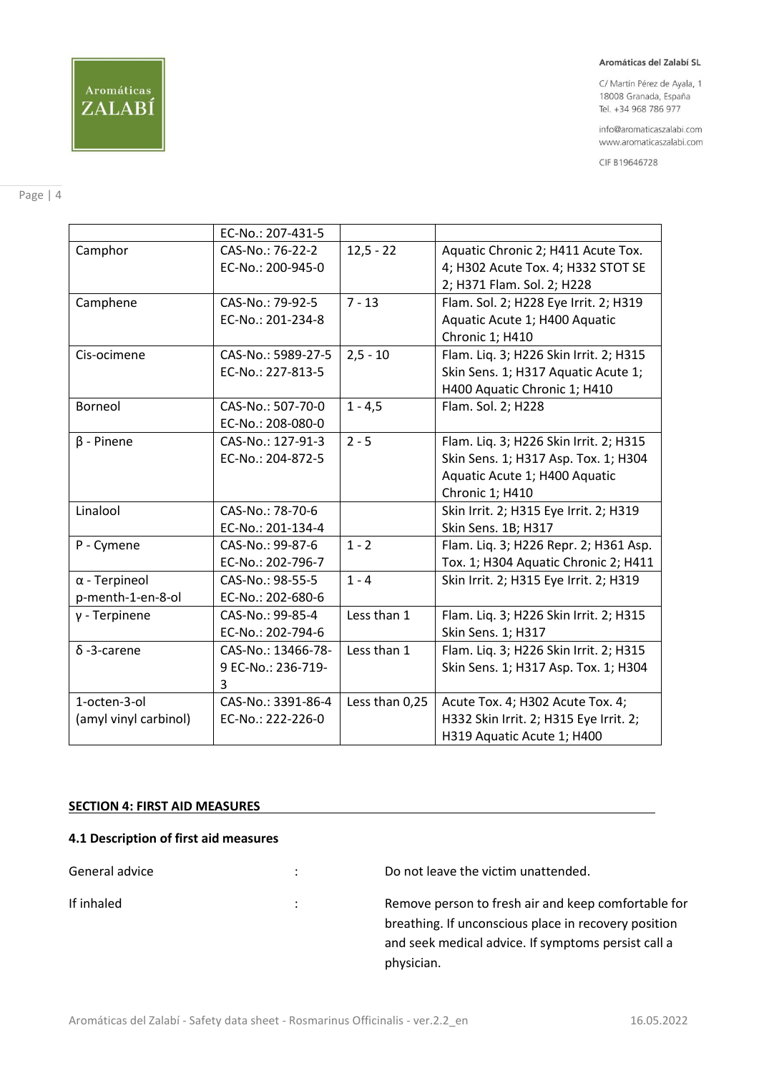C/ Martín Pérez de Ayala, 1 18008 Granada, España Tel. +34 968 786 977

info@aromaticaszalabi.com www.aromaticaszalabi.com

CIF B19646728

# Page | 4

|                       | EC-No.: 207-431-5  |                |                                        |
|-----------------------|--------------------|----------------|----------------------------------------|
| Camphor               | CAS-No.: 76-22-2   | $12,5 - 22$    | Aquatic Chronic 2; H411 Acute Tox.     |
|                       | EC-No.: 200-945-0  |                | 4; H302 Acute Tox. 4; H332 STOT SE     |
|                       |                    |                | 2; H371 Flam. Sol. 2; H228             |
| Camphene              | CAS-No.: 79-92-5   | $7 - 13$       | Flam. Sol. 2; H228 Eye Irrit. 2; H319  |
|                       | EC-No.: 201-234-8  |                | Aquatic Acute 1; H400 Aquatic          |
|                       |                    |                | Chronic 1; H410                        |
| Cis-ocimene           | CAS-No.: 5989-27-5 | $2, 5 - 10$    | Flam. Liq. 3; H226 Skin Irrit. 2; H315 |
|                       | EC-No.: 227-813-5  |                | Skin Sens. 1; H317 Aquatic Acute 1;    |
|                       |                    |                | H400 Aquatic Chronic 1; H410           |
| Borneol               | CAS-No.: 507-70-0  | $1 - 4,5$      | Flam. Sol. 2; H228                     |
|                       | EC-No.: 208-080-0  |                |                                        |
| $\beta$ - Pinene      | CAS-No.: 127-91-3  | $2 - 5$        | Flam. Liq. 3; H226 Skin Irrit. 2; H315 |
|                       | EC-No.: 204-872-5  |                | Skin Sens. 1; H317 Asp. Tox. 1; H304   |
|                       |                    |                | Aquatic Acute 1; H400 Aquatic          |
|                       |                    |                | Chronic 1; H410                        |
| Linalool              | CAS-No.: 78-70-6   |                | Skin Irrit. 2; H315 Eye Irrit. 2; H319 |
|                       | EC-No.: 201-134-4  |                | Skin Sens. 1B; H317                    |
| P - Cymene            | CAS-No.: 99-87-6   | $1 - 2$        | Flam. Liq. 3; H226 Repr. 2; H361 Asp.  |
|                       | EC-No.: 202-796-7  |                | Tox. 1; H304 Aquatic Chronic 2; H411   |
| $\alpha$ - Terpineol  | CAS-No.: 98-55-5   | $1 - 4$        | Skin Irrit. 2; H315 Eye Irrit. 2; H319 |
| p-menth-1-en-8-ol     | EC-No.: 202-680-6  |                |                                        |
| $y$ - Terpinene       | CAS-No.: 99-85-4   | Less than 1    | Flam. Liq. 3; H226 Skin Irrit. 2; H315 |
|                       | EC-No.: 202-794-6  |                | Skin Sens. 1; H317                     |
| $\delta$ -3-carene    | CAS-No.: 13466-78- | Less than 1    | Flam. Liq. 3; H226 Skin Irrit. 2; H315 |
|                       | 9 EC-No.: 236-719- |                | Skin Sens. 1; H317 Asp. Tox. 1; H304   |
|                       | 3                  |                |                                        |
| 1-octen-3-ol          | CAS-No.: 3391-86-4 | Less than 0,25 | Acute Tox. 4; H302 Acute Tox. 4;       |
| (amyl vinyl carbinol) | EC-No.: 222-226-0  |                | H332 Skin Irrit. 2; H315 Eye Irrit. 2; |
|                       |                    |                | H319 Aquatic Acute 1; H400             |

# **SECTION 4: FIRST AID MEASURES**

# **4.1 Description of first aid measures**

General advice  $\qquad \qquad :$  Do not leave the victim unattended. If inhaled is a resource of the Remove person to fresh air and keep comfortable for breathing. If unconscious place in recovery position and seek medical advice. If symptoms persist call a physician.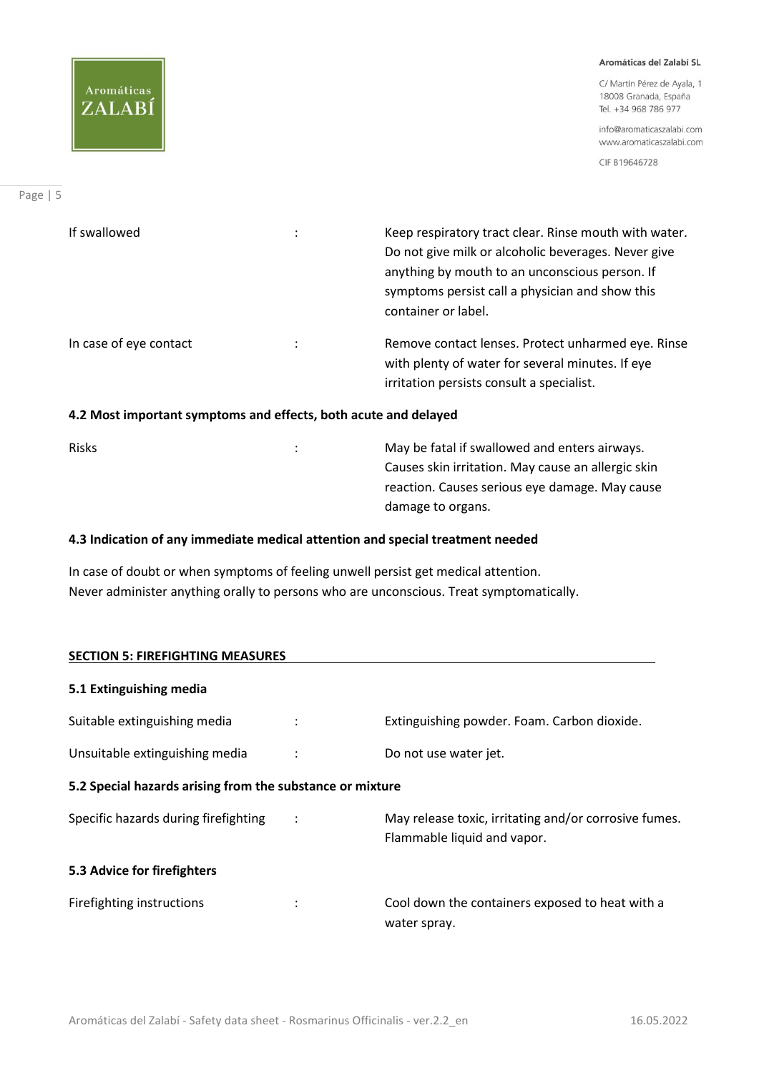C/ Martín Pérez de Ayala, 1 18008 Granada, España Tel. +34 968 786 977

info@aromaticaszalabi.com www.aromaticaszalabi.com

CIF B19646728

| If swallowed           | Keep respiratory tract clear. Rinse mouth with water.<br>Do not give milk or alcoholic beverages. Never give<br>anything by mouth to an unconscious person. If<br>symptoms persist call a physician and show this<br>container or label. |
|------------------------|------------------------------------------------------------------------------------------------------------------------------------------------------------------------------------------------------------------------------------------|
| In case of eye contact | Remove contact lenses. Protect unharmed eye. Rinse<br>with plenty of water for several minutes. If eye<br>irritation persists consult a specialist.                                                                                      |

# **4.2 Most important symptoms and effects, both acute and delayed**

Risks **National Community Community** Community Community Community Community Community Community Community Community Community Community Community Community Community Community Community Community Community Community Commu Causes skin irritation. May cause an allergic skin reaction. Causes serious eye damage. May cause damage to organs.

# **4.3 Indication of any immediate medical attention and special treatment needed**

In case of doubt or when symptoms of feeling unwell persist get medical attention. Never administer anything orally to persons who are unconscious. Treat symptomatically.

| <b>SECTION 5: FIREFIGHTING MEASURES</b>                   |  |                                                                                      |  |
|-----------------------------------------------------------|--|--------------------------------------------------------------------------------------|--|
| 5.1 Extinguishing media                                   |  |                                                                                      |  |
| Suitable extinguishing media                              |  | Extinguishing powder. Foam. Carbon dioxide.                                          |  |
| Unsuitable extinguishing media                            |  | Do not use water jet.                                                                |  |
| 5.2 Special hazards arising from the substance or mixture |  |                                                                                      |  |
| Specific hazards during firefighting                      |  | May release toxic, irritating and/or corrosive fumes.<br>Flammable liquid and vapor. |  |
| 5.3 Advice for firefighters                               |  |                                                                                      |  |
| Firefighting instructions                                 |  | Cool down the containers exposed to heat with a<br>water spray.                      |  |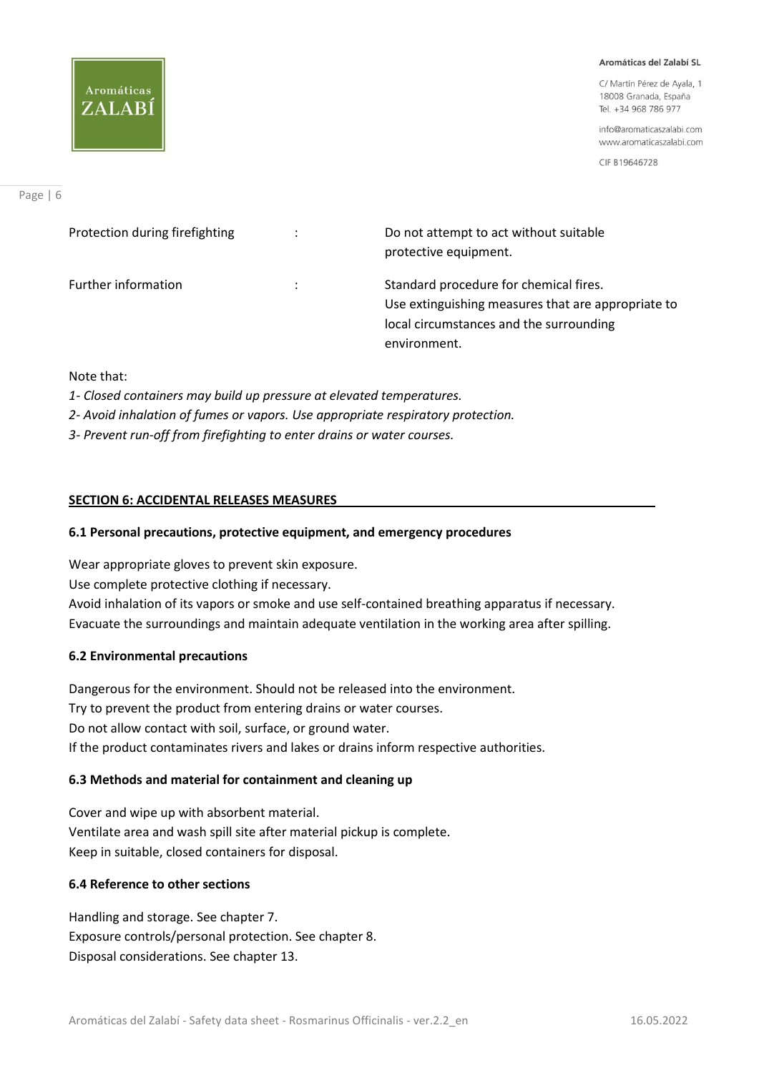# Aromáticas ZALABI

#### Aromáticas del Zalabí SL

C/ Martín Pérez de Ayala, 1 18008 Granada, España Tel. +34 968 786 977

info@aromaticaszalabi.com www.aromaticaszalabi.com

CIF B19646728

| Protection during firefighting | $\ddot{\phantom{0}}$ | Do not attempt to act without suitable<br>protective equipment.                                                                                         |
|--------------------------------|----------------------|---------------------------------------------------------------------------------------------------------------------------------------------------------|
| <b>Further information</b>     | ÷                    | Standard procedure for chemical fires.<br>Use extinguishing measures that are appropriate to<br>local circumstances and the surrounding<br>environment. |

# Note that:

- *1- Closed containers may build up pressure at elevated temperatures.*
- *2- Avoid inhalation of fumes or vapors. Use appropriate respiratory protection.*
- *3- Prevent run-off from firefighting to enter drains or water courses.*

# **SECTION 6: ACCIDENTAL RELEASES MEASURES**

# **6.1 Personal precautions, protective equipment, and emergency procedures**

Wear appropriate gloves to prevent skin exposure. Use complete protective clothing if necessary. Avoid inhalation of its vapors or smoke and use self-contained breathing apparatus if necessary. Evacuate the surroundings and maintain adequate ventilation in the working area after spilling.

# **6.2 Environmental precautions**

Dangerous for the environment. Should not be released into the environment. Try to prevent the product from entering drains or water courses. Do not allow contact with soil, surface, or ground water. If the product contaminates rivers and lakes or drains inform respective authorities.

# **6.3 Methods and material for containment and cleaning up**

Cover and wipe up with absorbent material. Ventilate area and wash spill site after material pickup is complete. Keep in suitable, closed containers for disposal.

# **6.4 Reference to other sections**

Handling and storage. See chapter 7. Exposure controls/personal protection. See chapter 8. Disposal considerations. See chapter 13.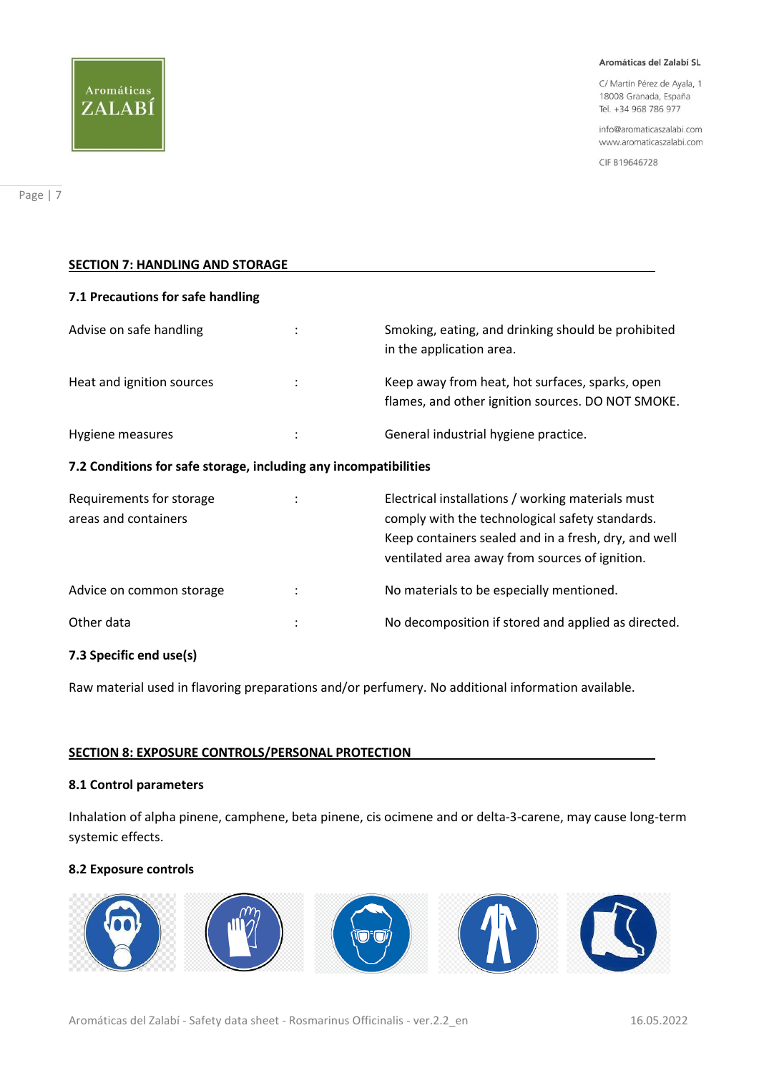

C/ Martín Pérez de Ayala, 1 18008 Granada, España Tel. +34 968 786 977

info@aromaticaszalabi.com www.aromaticaszalabi.com

CIF B19646728

| <b>SECTION 7: HANDLING AND STORAGE</b>                           |  |                                                                                                                                                                                                                |  |
|------------------------------------------------------------------|--|----------------------------------------------------------------------------------------------------------------------------------------------------------------------------------------------------------------|--|
| 7.1 Precautions for safe handling                                |  |                                                                                                                                                                                                                |  |
| Advise on safe handling                                          |  | Smoking, eating, and drinking should be prohibited<br>in the application area.                                                                                                                                 |  |
| Heat and ignition sources                                        |  | Keep away from heat, hot surfaces, sparks, open<br>flames, and other ignition sources. DO NOT SMOKE.                                                                                                           |  |
| Hygiene measures                                                 |  | General industrial hygiene practice.                                                                                                                                                                           |  |
| 7.2 Conditions for safe storage, including any incompatibilities |  |                                                                                                                                                                                                                |  |
| Requirements for storage<br>areas and containers                 |  | Electrical installations / working materials must<br>comply with the technological safety standards.<br>Keep containers sealed and in a fresh, dry, and well<br>ventilated area away from sources of ignition. |  |
| Advice on common storage                                         |  | No materials to be especially mentioned.                                                                                                                                                                       |  |
| Other data                                                       |  | No decomposition if stored and applied as directed.                                                                                                                                                            |  |

# **7.3 Specific end use(s)**

Raw material used in flavoring preparations and/or perfumery. No additional information available.

# **SECTION 8: EXPOSURE CONTROLS/PERSONAL PROTECTION**

# **8.1 Control parameters**

Inhalation of alpha pinene, camphene, beta pinene, cis ocimene and or delta-3-carene, may cause long-term systemic effects.

# **8.2 Exposure controls**

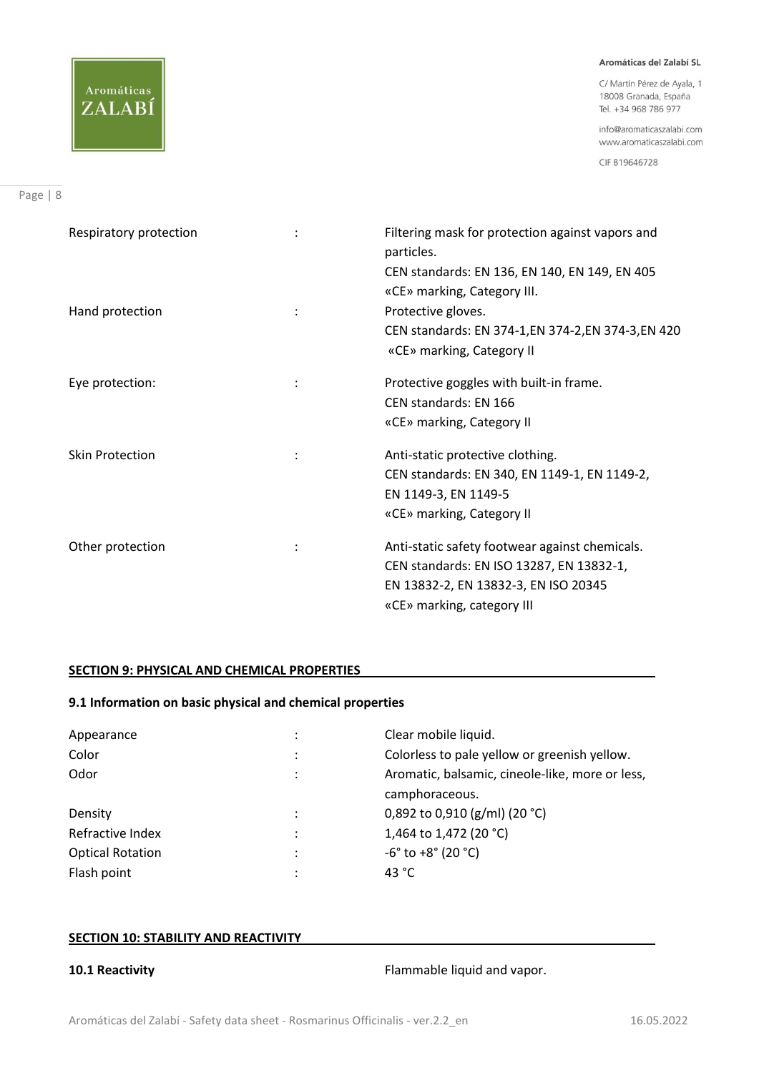C/ Martín Pérez de Ayala, 1 18008 Granada, España Tel. +34 968 786 977

info@aromaticaszalabi.com www.aromaticaszalabi.com

CIF B19646728

| Respiratory protection |                | Filtering mask for protection against vapors and<br>particles.<br>CEN standards: EN 136, EN 140, EN 149, EN 405                                                  |
|------------------------|----------------|------------------------------------------------------------------------------------------------------------------------------------------------------------------|
| Hand protection        |                | «CE» marking, Category III.<br>Protective gloves.<br>CEN standards: EN 374-1, EN 374-2, EN 374-3, EN 420<br>«CE» marking, Category II                            |
| Eye protection:        | ÷              | Protective goggles with built-in frame.<br>CEN standards: EN 166<br>«CE» marking, Category II                                                                    |
| <b>Skin Protection</b> | $\ddot{\cdot}$ | Anti-static protective clothing.<br>CEN standards: EN 340, EN 1149-1, EN 1149-2,<br>EN 1149-3, EN 1149-5<br>«CE» marking, Category II                            |
| Other protection       | ÷              | Anti-static safety footwear against chemicals.<br>CEN standards: EN ISO 13287, EN 13832-1,<br>EN 13832-2, EN 13832-3, EN ISO 20345<br>«CE» marking, category III |

# **SECTION 9: PHYSICAL AND CHEMICAL PROPERTIES**

# **9.1 Information on basic physical and chemical properties**

| Appearance              | ٠         | Clear mobile liquid.                            |
|-------------------------|-----------|-------------------------------------------------|
| Color                   | $\bullet$ | Colorless to pale yellow or greenish yellow.    |
| Odor                    | $\bullet$ | Aromatic, balsamic, cineole-like, more or less, |
|                         |           | camphoraceous.                                  |
| Density                 | $\cdot$   | 0,892 to 0,910 (g/ml) (20 °C)                   |
| Refractive Index        | $\bullet$ | 1,464 to 1,472 (20 °C)                          |
| <b>Optical Rotation</b> | $\bullet$ | $-6^{\circ}$ to $+8^{\circ}$ (20 $^{\circ}$ C)  |
| Flash point             | $\bullet$ | 43 $^{\circ}$ C                                 |

# **SECTION 10: STABILITY AND REACTIVITY**

**10.1 Reactivity 10.1 Reactivity 10.1 Reactivity**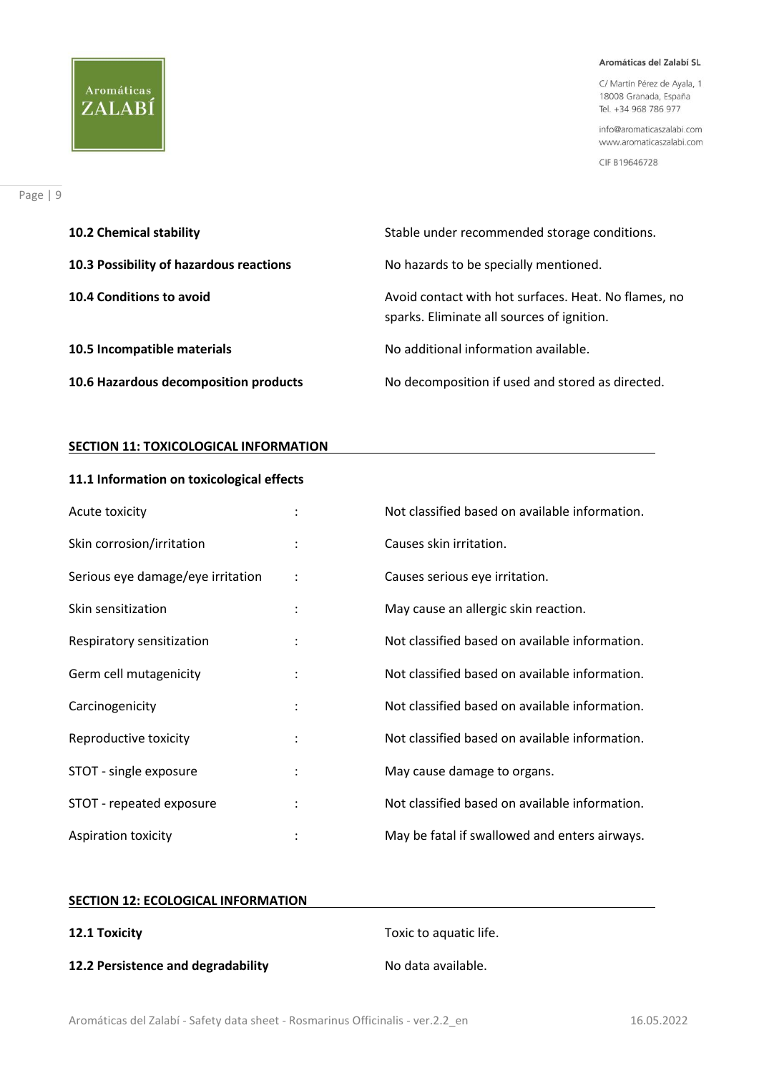C/ Martín Pérez de Ayala, 1 18008 Granada, España Tel. +34 968 786 977

info@aromaticaszalabi.com www.aromaticaszalabi.com

CIF B19646728

| <b>10.2 Chemical stability</b>          | Stable under recommended storage conditions.                                                       |
|-----------------------------------------|----------------------------------------------------------------------------------------------------|
| 10.3 Possibility of hazardous reactions | No hazards to be specially mentioned.                                                              |
| 10.4 Conditions to avoid                | Avoid contact with hot surfaces. Heat. No flames, no<br>sparks. Eliminate all sources of ignition. |
| 10.5 Incompatible materials             | No additional information available.                                                               |
| 10.6 Hazardous decomposition products   | No decomposition if used and stored as directed.                                                   |

# **SECTION 11: TOXICOLOGICAL INFORMATION**

# **11.1 Information on toxicological effects**

| Acute toxicity                    |                      | Not classified based on available information. |
|-----------------------------------|----------------------|------------------------------------------------|
| Skin corrosion/irritation         |                      | Causes skin irritation.                        |
| Serious eye damage/eye irritation | $\ddot{\cdot}$       | Causes serious eye irritation.                 |
| Skin sensitization                | $\ddot{\cdot}$       | May cause an allergic skin reaction.           |
| Respiratory sensitization         | $\ddot{\phantom{a}}$ | Not classified based on available information. |
| Germ cell mutagenicity            | $\ddot{\cdot}$       | Not classified based on available information. |
| Carcinogenicity                   | $\ddot{\phantom{a}}$ | Not classified based on available information. |
| Reproductive toxicity             |                      | Not classified based on available information. |
| STOT - single exposure            | $\ddot{\phantom{a}}$ | May cause damage to organs.                    |
| STOT - repeated exposure          | $\ddot{\phantom{a}}$ | Not classified based on available information. |
| Aspiration toxicity               |                      | May be fatal if swallowed and enters airways.  |

# **SECTION 12: ECOLOGICAL INFORMATION**

**12.2 Persistence and degradability** No data available.

**12.1 Toxicity** Toxic to aquatic life.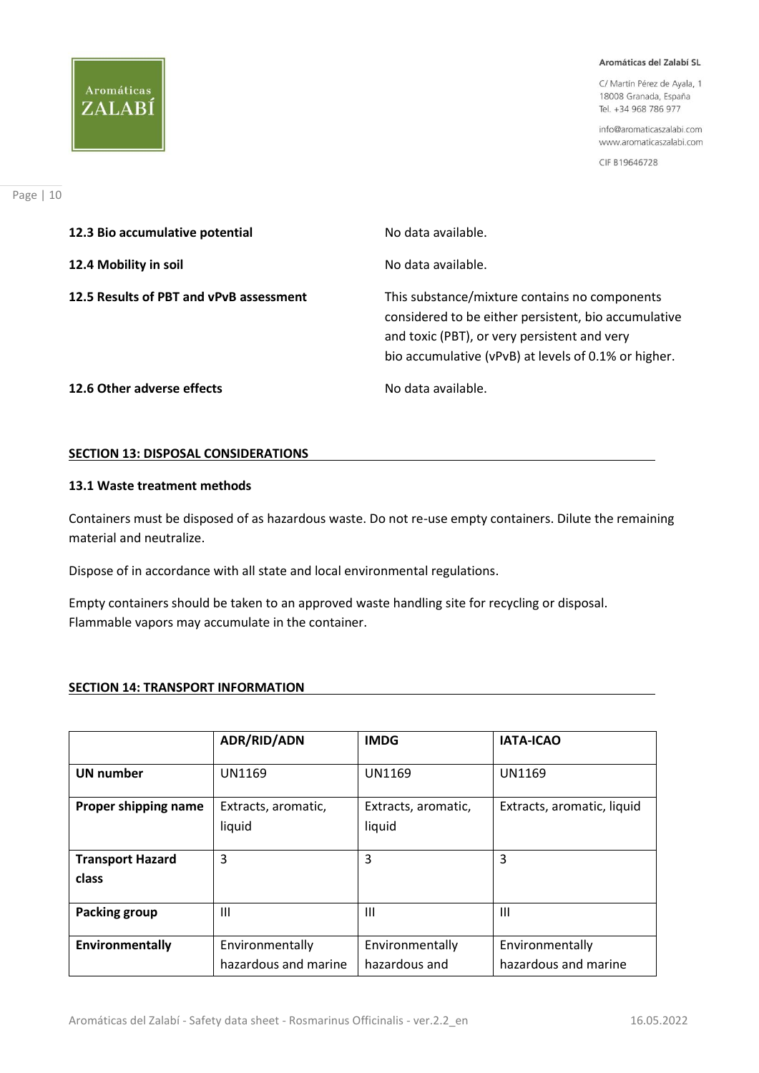C/ Martín Pérez de Ayala, 1 18008 Granada, España Tel. +34 968 786 977

info@aromaticaszalabi.com www.aromaticaszalabi.com

CIF B19646728

| 12.3 Bio accumulative potential         | No data available.                                                                                                                                                                                            |
|-----------------------------------------|---------------------------------------------------------------------------------------------------------------------------------------------------------------------------------------------------------------|
| 12.4 Mobility in soil                   | No data available.                                                                                                                                                                                            |
| 12.5 Results of PBT and vPvB assessment | This substance/mixture contains no components<br>considered to be either persistent, bio accumulative<br>and toxic (PBT), or very persistent and very<br>bio accumulative (vPvB) at levels of 0.1% or higher. |
| 12.6 Other adverse effects              | No data available.                                                                                                                                                                                            |

# **SECTION 13: DISPOSAL CONSIDERATIONS**

# **13.1 Waste treatment methods**

Containers must be disposed of as hazardous waste. Do not re-use empty containers. Dilute the remaining material and neutralize.

Dispose of in accordance with all state and local environmental regulations.

Empty containers should be taken to an approved waste handling site for recycling or disposal. Flammable vapors may accumulate in the container.

# **SECTION 14: TRANSPORT INFORMATION**

|                                  | <b>ADR/RID/ADN</b>                      | <b>IMDG</b>                      | <b>IATA-ICAO</b>                        |
|----------------------------------|-----------------------------------------|----------------------------------|-----------------------------------------|
| <b>UN</b> number                 | <b>UN1169</b>                           | <b>UN1169</b>                    | <b>UN1169</b>                           |
| Proper shipping name             | Extracts, aromatic,<br>liquid           | Extracts, aromatic,<br>liquid    | Extracts, aromatic, liquid              |
| <b>Transport Hazard</b><br>class | 3                                       | 3                                | 3                                       |
| Packing group                    | Ш                                       | Ш                                | Ш                                       |
| Environmentally                  | Environmentally<br>hazardous and marine | Environmentally<br>hazardous and | Environmentally<br>hazardous and marine |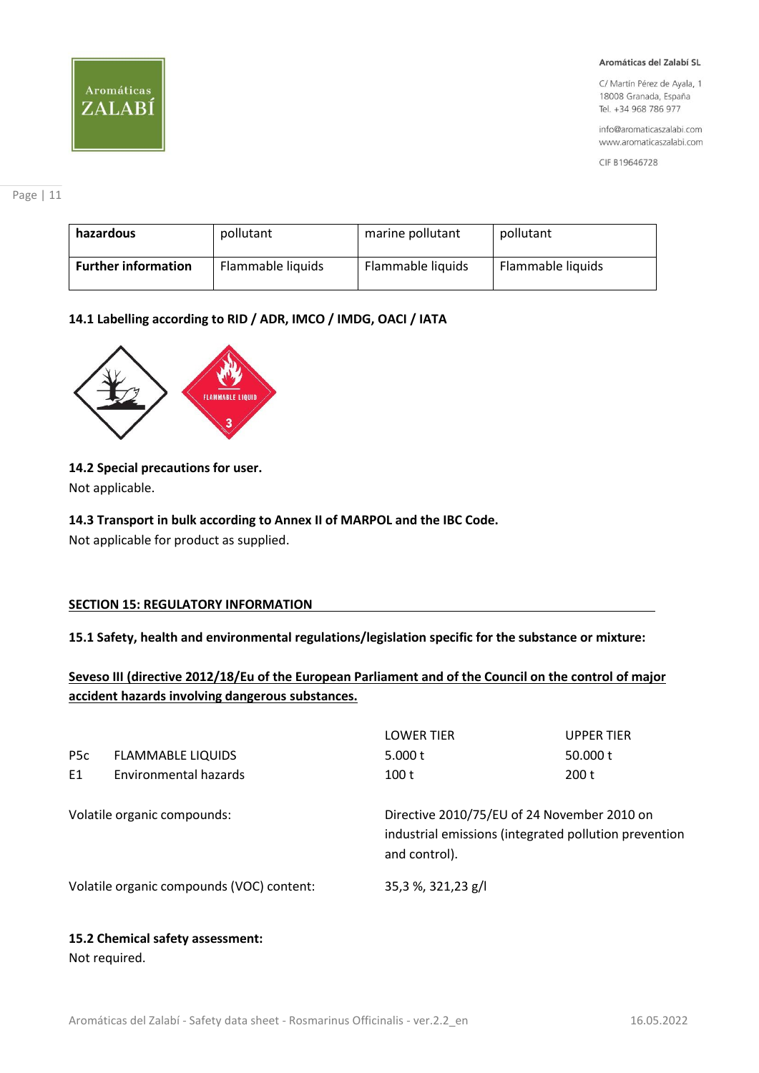# Aromáticas ZALABÍ

#### Aromáticas del Zalabí SL

C/ Martín Pérez de Ayala, 1 18008 Granada, España Tel. +34 968 786 977

info@aromaticaszalabi.com www.aromaticaszalabi.com

CIF B19646728

| hazardous                  | pollutant         | marine pollutant  | pollutant         |
|----------------------------|-------------------|-------------------|-------------------|
| <b>Further information</b> | Flammable liquids | Flammable liquids | Flammable liquids |

# **14.1 Labelling according to RID / ADR, IMCO / IMDG, OACI / IATA**



# **14.2 Special precautions for user.**

Not applicable.

# **14.3 Transport in bulk according to Annex II of MARPOL and the IBC Code.**

Not applicable for product as supplied.

# **SECTION 15: REGULATORY INFORMATION**

**15.1 Safety, health and environmental regulations/legislation specific for the substance or mixture:** 

**Seveso III (directive 2012/18/Eu of the European Parliament and of the Council on the control of major accident hazards involving dangerous substances.**

|                             |                                           | <b>LOWER TIER</b>  | <b>UPPER TIER</b>                                                                                    |  |
|-----------------------------|-------------------------------------------|--------------------|------------------------------------------------------------------------------------------------------|--|
| P <sub>5</sub> c            | <b>FLAMMABLE LIQUIDS</b>                  | 5.000 $t$          | 50.000 t                                                                                             |  |
| E1                          | Environmental hazards                     | 100t               | 200t                                                                                                 |  |
| Volatile organic compounds: |                                           | and control).      | Directive 2010/75/EU of 24 November 2010 on<br>industrial emissions (integrated pollution prevention |  |
|                             | Volatile organic compounds (VOC) content: | 35,3 %, 321,23 g/l |                                                                                                      |  |
|                             |                                           |                    |                                                                                                      |  |

# **15.2 Chemical safety assessment:**

Not required.